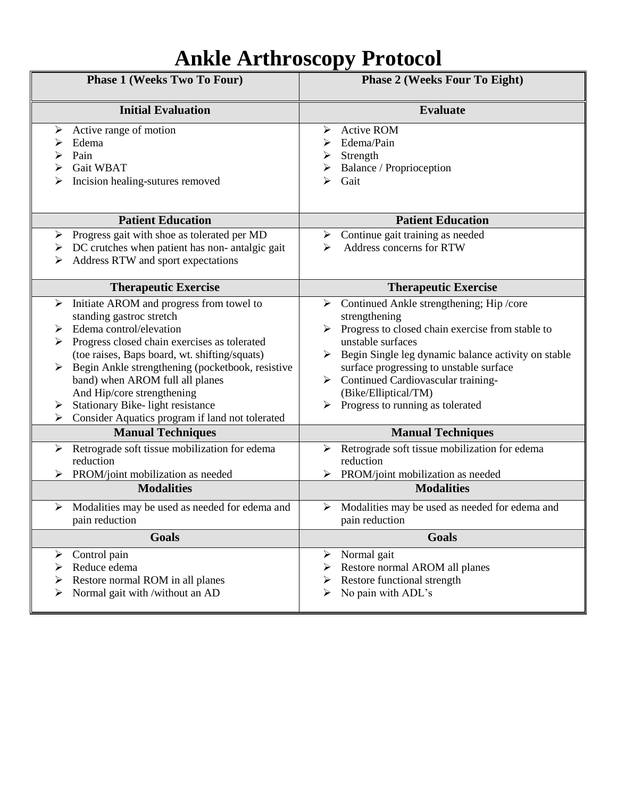## **Ankle Arthroscopy Protocol**

| <b>Phase 1 (Weeks Two To Four)</b>                                                                                                                                                                                                                                                                                                                                                                                                    | <b>Phase 2 (Weeks Four To Eight)</b>                                                                                                                                                                                                                                                                                                                       |
|---------------------------------------------------------------------------------------------------------------------------------------------------------------------------------------------------------------------------------------------------------------------------------------------------------------------------------------------------------------------------------------------------------------------------------------|------------------------------------------------------------------------------------------------------------------------------------------------------------------------------------------------------------------------------------------------------------------------------------------------------------------------------------------------------------|
| <b>Initial Evaluation</b>                                                                                                                                                                                                                                                                                                                                                                                                             | <b>Evaluate</b>                                                                                                                                                                                                                                                                                                                                            |
| Active range of motion<br>➤<br>Edema<br>Pain<br>⋗<br>Gait WBAT<br>Incision healing-sutures removed                                                                                                                                                                                                                                                                                                                                    | <b>Active ROM</b><br>➤<br>Edema/Pain<br>Strength<br>Balance / Proprioception<br>Gait<br>⋗                                                                                                                                                                                                                                                                  |
| <b>Patient Education</b>                                                                                                                                                                                                                                                                                                                                                                                                              | <b>Patient Education</b>                                                                                                                                                                                                                                                                                                                                   |
| Progress gait with shoe as tolerated per MD<br>➤<br>DC crutches when patient has non-antalgic gait<br>➤<br>Address RTW and sport expectations<br>➤                                                                                                                                                                                                                                                                                    | Continue gait training as needed<br>➤<br>Address concerns for RTW<br>⋗                                                                                                                                                                                                                                                                                     |
| <b>Therapeutic Exercise</b>                                                                                                                                                                                                                                                                                                                                                                                                           | <b>Therapeutic Exercise</b>                                                                                                                                                                                                                                                                                                                                |
| Initiate AROM and progress from towel to<br>➤<br>standing gastroc stretch<br>Edema control/elevation<br>➤<br>Progress closed chain exercises as tolerated<br>➤<br>(toe raises, Baps board, wt. shifting/squats)<br>Begin Ankle strengthening (pocketbook, resistive<br>➤<br>band) when AROM full all planes<br>And Hip/core strengthening<br>Stationary Bike-light resistance<br>≻<br>Consider Aquatics program if land not tolerated | Continued Ankle strengthening; Hip /core<br>➤<br>strengthening<br>Progress to closed chain exercise from stable to<br>unstable surfaces<br>Begin Single leg dynamic balance activity on stable<br>➤<br>surface progressing to unstable surface<br>Continued Cardiovascular training-<br>➤<br>(Bike/Elliptical/TM)<br>Progress to running as tolerated<br>➤ |
| <b>Manual Techniques</b>                                                                                                                                                                                                                                                                                                                                                                                                              | <b>Manual Techniques</b>                                                                                                                                                                                                                                                                                                                                   |
| Retrograde soft tissue mobilization for edema<br>➤<br>reduction<br>PROM/joint mobilization as needed<br>➤<br><b>Modalities</b>                                                                                                                                                                                                                                                                                                        | Retrograde soft tissue mobilization for edema<br>➤<br>reduction<br>PROM/joint mobilization as needed<br>➤<br><b>Modalities</b>                                                                                                                                                                                                                             |
| Modalities may be used as needed for edema and<br>➤<br>pain reduction                                                                                                                                                                                                                                                                                                                                                                 | Modalities may be used as needed for edema and<br>➤<br>pain reduction                                                                                                                                                                                                                                                                                      |
| Goals                                                                                                                                                                                                                                                                                                                                                                                                                                 | Goals                                                                                                                                                                                                                                                                                                                                                      |
| Control pain<br>➤<br>Reduce edema<br>Restore normal ROM in all planes<br>Normal gait with /without an AD<br>➤                                                                                                                                                                                                                                                                                                                         | Normal gait<br>➤<br>Restore normal AROM all planes<br>Restore functional strength<br>➤<br>No pain with ADL's<br>➤                                                                                                                                                                                                                                          |